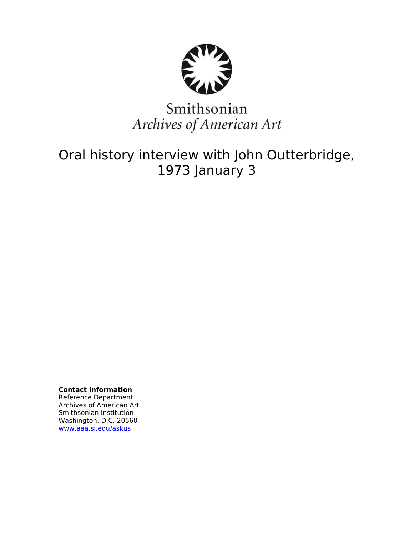

# Smithsonian Archives of American Art

# Oral history interview with John Outterbridge, 1973 January 3

**Contact Information** Reference Department Archives of American Art Smithsonian Institution Washington. D.C. 20560 [www.aaa.si.edu/askus](http://www.aaa.si.edu/askus)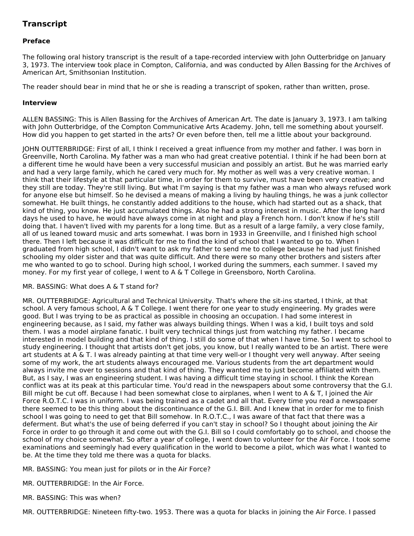# **Transcript**

## **Preface**

The following oral history transcript is the result of a tape-recorded interview with John Outterbridge on January 3, 1973. The interview took place in Compton, California, and was conducted by Allen Bassing for the Archives of American Art, Smithsonian Institution.

The reader should bear in mind that he or she is reading a transcript of spoken, rather than written, prose.

#### **Interview**

ALLEN BASSING: This is Allen Bassing for the Archives of American Art. The date is January 3, 1973. I am talking with John Outterbridge, of the Compton Communicative Arts Academy. John, tell me something about yourself. How did you happen to get started in the arts? Or even before then, tell me a little about your background.

JOHN OUTTERBRIDGE: First of all, I think I received a great influence from my mother and father. I was born in Greenville, North Carolina. My father was a man who had great creative potential. I think if he had been born at a different time he would have been a very successful musician and possibly an artist. But he was married early and had a very large family, which he cared very much for. My mother as well was a very creative woman. I think that their lifestyle at that particular time, in order for them to survive, must have been very creative; and they still are today. They're still living. But what I'm saying is that my father was a man who always refused work for anyone else but himself. So he devised a means of making a living by hauling things, he was a junk collector somewhat. He built things, he constantly added additions to the house, which had started out as a shack, that kind of thing, you know. He just accumulated things. Also he had a strong interest in music. After the long hard days he used to have, he would have always come in at night and play a French horn. I don't know if he's still doing that. I haven't lived with my parents for a long time. But as a result of a large family, a very close family, all of us leaned toward music and arts somewhat. I was born in 1933 in Greenville, and I finished high school there. Then I left because it was difficult for me to find the kind of school that I wanted to go to. When I graduated from high school, I didn't want to ask my father to send me to college because he had just finished schooling my older sister and that was quite difficult. And there were so many other brothers and sisters after me who wanted to go to school. During high school, I worked during the summers, each summer. I saved my money. For my first year of college, I went to A & T College in Greensboro, North Carolina.

### MR. BASSING: What does A & T stand for?

MR. OUTTERBRIDGE: Agricultural and Technical University. That's where the sit-ins started, I think, at that school. A very famous school, A & T College. I went there for one year to study engineering. My grades were good. But I was trying to be as practical as possible in choosing an occupation. I had some interest in engineering because, as I said, my father was always building things. When I was a kid, I built toys and sold them. I was a model airplane fanatic. I built very technical things just from watching my father. I became interested in model building and that kind of thing. I still do some of that when I have time. So I went to school to study engineering. I thought that artists don't get jobs, you know, but I really wanted to be an artist. There were art students at A & T. I was already painting at that time very well-or I thought very well anyway. After seeing some of my work, the art students always encouraged me. Various students from the art department would always invite me over to sessions and that kind of thing. They wanted me to just become affiliated with them. But, as I say, I was an engineering student. I was having a difficult time staying in school. I think the Korean conflict was at its peak at this particular time. You'd read in the newspapers about some controversy that the G.I. Bill might be cut off. Because I had been somewhat close to airplanes, when I went to A & T, I joined the Air Force R.O.T.C. I was in uniform. I was being trained as a cadet and all that. Every time you read a newspaper there seemed to be this thing about the discontinuance of the G.I. Bill. And I knew that in order for me to finish school I was going to need to get that Bill somehow. In R.O.T.C., I was aware of that fact that there was a deferment. But what's the use of being deferred if you can't stay in school? So I thought about joining the Air Force in order to go through it and come out with the G.I. Bill so I could comfortably go to school, and choose the school of my choice somewhat. So after a year of college, I went down to volunteer for the Air Force. I took some examinations and seemingly had every qualification in the world to become a pilot, which was what I wanted to be. At the time they told me there was a quota for blacks.

MR. BASSING: You mean just for pilots or in the Air Force?

MR. OUTTERBRIDGE: In the Air Force.

MR. BASSING: This was when?

MR. OUTTERBRIDGE: Nineteen fifty-two. 1953. There was a quota for blacks in joining the Air Force. I passed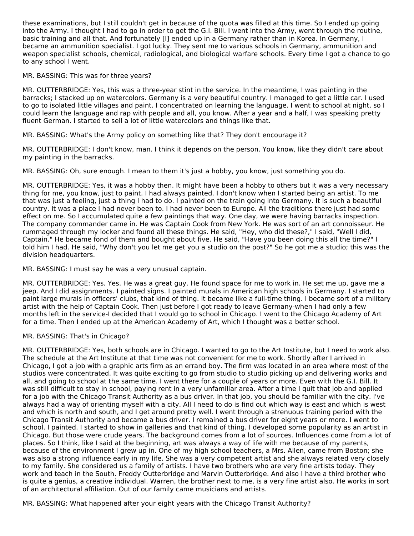these examinations, but I still couldn't get in because of the quota was filled at this time. So I ended up going into the Army. I thought I had to go in order to get the G.I. Bill. I went into the Army, went through the routine, basic training and all that. And fortunately [I] ended up in a Germany rather than in Korea. In Germany, I became an ammunition specialist. I got lucky. They sent me to various schools in Germany, ammunition and weapon specialist schools, chemical, radiological, and biological warfare schools. Every time I got a chance to go to any school I went.

MR. BASSING: This was for three years?

MR. OUTTERBRIDGE: Yes, this was a three-year stint in the service. In the meantime, I was painting in the barracks; I stacked up on watercolors. Germany is a very beautiful country. I managed to get a little car. I used to go to isolated little villages and paint. I concentrated on learning the language. I went to school at night, so I could learn the language and rap with people and all, you know. After a year and a half, I was speaking pretty fluent German. I started to sell a lot of little watercolors and things like that.

MR. BASSING: What's the Army policy on something like that? They don't encourage it?

MR. OUTTERBRIDGE: I don't know, man. I think it depends on the person. You know, like they didn't care about my painting in the barracks.

MR. BASSING: Oh, sure enough. I mean to them it's just a hobby, you know, just something you do.

MR. OUTTERBRIDGE: Yes, it was a hobby then. It might have been a hobby to others but it was a very necessary thing for me, you know, just to paint. I had always painted. I don't know when I started being an artist. To me that was just a feeling, just a thing I had to do. I painted on the train going into Germany. It is such a beautiful country. It was a place I had never been to. I had never been to Europe. All the traditions there just had some effect on me. So I accumulated quite a few paintings that way. One day, we were having barracks inspection. The company commander came in. He was Captain Cook from New York. He was sort of an art connoisseur. He rummaged through my locker and found all these things. He said, "Hey, who did these?," I said, "Well I did, Captain." He became fond of them and bought about five. He said, "Have you been doing this all the time?" I told him I had. He said, "Why don't you let me get you a studio on the post?" So he got me a studio; this was the division headquarters.

MR. BASSING: I must say he was a very unusual captain.

MR. OUTTERBRIDGE: Yes. Yes. He was a great guy. He found space for me to work in. He set me up, gave me a jeep. And I did assignments. I painted signs. I painted murals in American high schools in Germany. I started to paint large murals in officers' clubs, that kind of thing. It became like a full-time thing. I became sort of a military artist with the help of Captain Cook. Then just before I got ready to leave Germany-when I had only a few months left in the service-I decided that I would go to school in Chicago. I went to the Chicago Academy of Art for a time. Then I ended up at the American Academy of Art, which I thought was a better school.

MR. BASSING: That's in Chicago?

MR. OUTTERBRIDGE: Yes, both schools are in Chicago. I wanted to go to the Art Institute, but I need to work also. The schedule at the Art Institute at that time was not convenient for me to work. Shortly after I arrived in Chicago, I got a job with a graphic arts firm as an errand boy. The firm was located in an area where most of the studios were concentrated. It was quite exciting to go from studio to studio picking up and delivering works and all, and going to school at the same time. I went there for a couple of years or more. Even with the G.I. Bill. It was still difficult to stay in school, paying rent in a very unfamiliar area. After a time I quit that job and applied for a job with the Chicago Transit Authority as a bus driver. In that job, you should be familiar with the city. I've always had a way of orienting myself with a city. All I need to do is find out which way is east and which is west and which is north and south, and I get around pretty well. I went through a strenuous training period with the Chicago Transit Authority and became a bus driver. I remained a bus driver for eight years or more. I went to school. I painted. I started to show in galleries and that kind of thing. I developed some popularity as an artist in Chicago. But those were crude years. The background comes from a lot of sources. Influences come from a lot of places. So I think, like I said at the beginning, art was always a way of life with me because of my parents, because of the environment I grew up in. One of my high school teachers, a Mrs. Allen, came from Boston; she was also a strong influence early in my life. She was a very competent artist and she always related very closely to my family. She considered us a family of artists. I have two brothers who are very fine artists today. They work and teach in the South. Freddy Outterbridge and Marvin Outterbridge. And also I have a third brother who is quite a genius, a creative individual. Warren, the brother next to me, is a very fine artist also. He works in sort of an architectural affiliation. Out of our family came musicians and artists.

MR. BASSING: What happened after your eight years with the Chicago Transit Authority?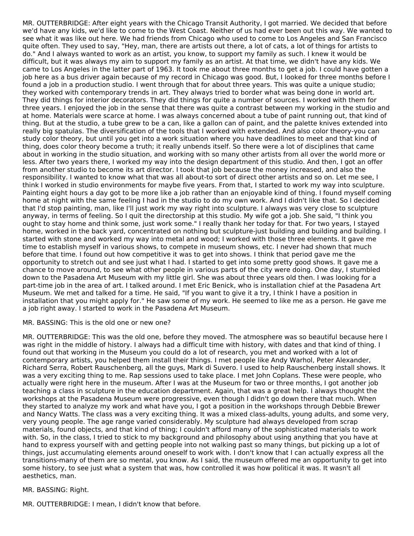MR. OUTTERBRIDGE: After eight years with the Chicago Transit Authority, I got married. We decided that before we'd have any kids, we'd like to come to the West Coast. Neither of us had ever been out this way. We wanted to see what it was like out here. We had friends from Chicago who used to come to Los Angeles and San Francisco quite often. They used to say, "Hey, man, there are artists out there, a lot of cats, a lot of things for artists to do." And I always wanted to work as an artist, you know, to support my family as such. I knew it would be difficult, but it was always my aim to support my family as an artist. At that time, we didn't have any kids. We came to Los Angeles in the latter part of 1963. It took me about three months to get a job. I could have gotten a job here as a bus driver again because of my record in Chicago was good. But, I looked for three months before I found a job in a production studio. I went through that for about three years. This was quite a unique studio; they worked with contemporary trends in art. They always tried to border what was being done in world art. They did things for interior decorators. They did things for quite a number of sources. I worked with them for three years. I enjoyed the job in the sense that there was quite a contrast between my working in the studio and at home. Materials were scarce at home. I was always concerned about a tube of paint running out, that kind of thing. But at the studio, a tube grew to be a can, like a gallon can of paint, and the palette knives extended into really big spatulas. The diversification of the tools that I worked with extended. And also color theory-you can study color theory, but until you get into a work situation where you have deadlines to meet and that kind of thing, does color theory become a truth; it really unbends itself. So there were a lot of disciplines that came about in working in the studio situation, and working with so many other artists from all over the world more or less. After two years there, I worked my way into the design department of this studio. And then, I got an offer from another studio to become its art director. I took that job because the money increased, and also the responsibility. I wanted to know what that was all about-to sort of direct other artists and so on. Let me see, I think I worked in studio environments for maybe five years. From that, I started to work my way into sculpture. Painting eight hours a day got to be more like a job rather than an enjoyable kind of thing. I found myself coming home at night with the same feeling I had in the studio to do my own work. And I didn't like that. So I decided that I'd stop painting, man, like I'll just work my way right into sculpture. I always was very close to sculpture anyway, in terms of feeling. So I quit the directorship at this studio. My wife got a job. She said, "I think you ought to stay home and think some, just work some." I really thank her today for that. For two years, I stayed home, worked in the back yard, concentrated on nothing but sculpture-just building and building and building. I started with stone and worked my way into metal and wood; I worked with those three elements. It gave me time to establish myself in various shows, to compete in museum shows, etc. I never had shown that much before that time. I found out how competitive it was to get into shows. I think that period gave me the opportunity to stretch out and see just what I had. I started to get into some pretty good shows. It gave me a chance to move around, to see what other people in various parts of the city were doing. One day, I stumbled down to the Pasadena Art Museum with my little girl. She was about three years old then. I was looking for a part-time job in the area of art. I talked around. I met Eric Benick, who is installation chief at the Pasadena Art Museum. We met and talked for a time. He said, "If you want to give it a try, I think I have a position in installation that you might apply for." He saw some of my work. He seemed to like me as a person. He gave me a job right away. I started to work in the Pasadena Art Museum.

MR. BASSING: This is the old one or new one?

MR. OUTTERBRIDGE: This was the old one, before they moved. The atmosphere was so beautiful because here I was right in the middle of history. I always had a difficult time with history, with dates and that kind of thing. I found out that working in the Museum you could do a lot of research, you met and worked with a lot of contemporary artists, you helped them install their things. I met people like Andy Warhol, Peter Alexander, Richard Serra, Robert Rauschenberg, all the guys, Mark di Suvero. I used to help Rauschenberg install shows. It was a very exciting thing to me. Rap sessions used to take place. I met John Coplans. These were people, who actually were right here in the museum. After I was at the Museum for two or three months, I got another job teaching a class in sculpture in the education department. Again, that was a great help. I always thought the workshops at the Pasadena Museum were progressive, even though I didn't go down there that much. When they started to analyze my work and what have you, I got a position in the workshops through Debbie Brewer and Nancy Watts. The class was a very exciting thing. It was a mixed class-adults, young adults, and some very, very young people. The age range varied considerably. My sculpture had always developed from scrap materials, found objects, and that kind of thing; I couldn't afford many of the sophisticated materials to work with. So, in the class, I tried to stick to my background and philosophy about using anything that you have at hand to express yourself with and getting people into not walking past so many things, but picking up a lot of things, just accumulating elements around oneself to work with. I don't know that I can actually express all the transitions-many of them are so mental, you know. As I said, the museum offered me an opportunity to get into some history, to see just what a system that was, how controlled it was how political it was. It wasn't all aesthetics, man.

#### MR. BASSING: Right.

MR. OUTTERBRIDGE: I mean, I didn't know that before.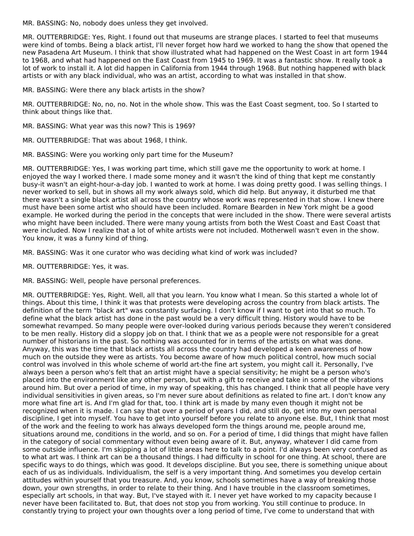MR. BASSING: No, nobody does unless they get involved.

MR. OUTTERBRIDGE: Yes, Right. I found out that museums are strange places. I started to feel that museums were kind of tombs. Being a black artist, I'll never forget how hard we worked to hang the show that opened the new Pasadena Art Museum. I think that show illustrated what had happened on the West Coast in art form 1944 to 1968, and what had happened on the East Coast from 1945 to 1969. It was a fantastic show. It really took a lot of work to install it. A lot did happen in California from 1944 through 1968. But nothing happened with black artists or with any black individual, who was an artist, according to what was installed in that show.

MR. BASSING: Were there any black artists in the show?

MR. OUTTERBRIDGE: No, no, no. Not in the whole show. This was the East Coast segment, too. So I started to think about things like that.

MR. BASSING: What year was this now? This is 1969?

MR. OUTTERBRIDGE: That was about 1968, I think.

MR. BASSING: Were you working only part time for the Museum?

MR. OUTTERBRIDGE: Yes, I was working part time, which still gave me the opportunity to work at home. I enjoyed the way I worked there. I made some money and it wasn't the kind of thing that kept me constantly busy-it wasn't an eight-hour-a-day job. I wanted to work at home. I was doing pretty good. I was selling things. I never worked to sell, but in shows all my work always sold, which did help. But anyway, it disturbed me that there wasn't a single black artist all across the country whose work was represented in that show. I knew there must have been some artist who should have been included. Romare Bearden in New York might be a good example. He worked during the period in the concepts that were included in the show. There were several artists who might have been included. There were many young artists from both the West Coast and East Coast that were included. Now I realize that a lot of white artists were not included. Motherwell wasn't even in the show. You know, it was a funny kind of thing.

MR. BASSING: Was it one curator who was deciding what kind of work was included?

MR. OUTTERBRIDGE: Yes, it was.

MR. BASSING: Well, people have personal preferences.

MR. OUTTERBRIDGE: Yes, Right. Well, all that you learn. You know what I mean. So this started a whole lot of things. About this time, I think it was that protests were developing across the country from black artists. The definition of the term "black art" was constantly surfacing. I don't know if I want to get into that so much. To define what the black artist has done in the past would be a very difficult thing. History would have to be somewhat revamped. So many people were over-looked during various periods because they weren't considered to be men really. History did a sloppy job on that. I think that we as a people were not responsible for a great number of historians in the past. So nothing was accounted for in terms of the artists on what was done. Anyway, this was the time that black artists all across the country had developed a keen awareness of how much on the outside they were as artists. You become aware of how much political control, how much social control was involved in this whole scheme of world art-the fine art system, you might call it. Personally, I've always been a person who's felt that an artist might have a special sensitivity; he might be a person who's placed into the environment like any other person, but with a gift to receive and take in some of the vibrations around him. But over a period of time, in my way of speaking, this has changed. I think that all people have very individual sensitivities in given areas, so I'm never sure about definitions as related to fine art. I don't know any more what fine art is. And I'm glad for that, too. I think art is made by many even though it might not be recognized when it is made. I can say that over a period of years I did, and still do, get into my own personal discipline, I get into myself. You have to get into yourself before you relate to anyone else. But, I think that most of the work and the feeling to work has always developed form the things around me, people around me, situations around me, conditions in the world, and so on. For a period of time, I did things that might have fallen in the category of social commentary without even being aware of it. But, anyway, whatever I did came from some outside influence. I'm skipping a lot of little areas here to talk to a point. I'd always been very confused as to what art was. I think art can be a thousand things. I had difficulty in school for one thing. At school, there are specific ways to do things, which was good. It develops discipline. But you see, there is something unique about each of us as individuals. Individualism, the self is a very important thing. And sometimes you develop certain attitudes within yourself that you treasure. And, you know, schools sometimes have a way of breaking those down, your own strengths, in order to relate to their thing. And I have trouble in the classroom sometimes, especially art schools, in that way. But, I've stayed with it. I never yet have worked to my capacity because I never have been facilitated to. But, that does not stop you from working. You still continue to produce. In constantly trying to project your own thoughts over a long period of time, I've come to understand that with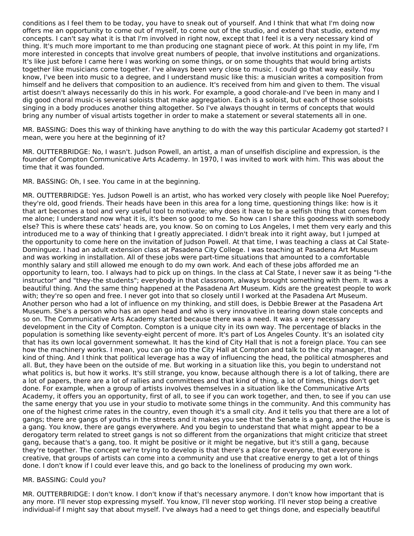conditions as I feel them to be today, you have to sneak out of yourself. And I think that what I'm doing now offers me an opportunity to come out of myself, to come out of the studio, and extend that studio, extend my concepts. I can't say what it is that I'm involved in right now, except that I feel it is a very necessary kind of thing. It's much more important to me than producing one stagnant piece of work. At this point in my life, I'm more interested in concepts that involve great numbers of people, that involve institutions and organizations. It's like just before I came here I was working on some things, or on some thoughts that would bring artists together like musicians come together. I've always been very close to music. I could go that way easily. You know, I've been into music to a degree, and I understand music like this: a musician writes a composition from himself and he delivers that composition to an audience. It's received from him and given to them. The visual artist doesn't always necessarily do this in his work. For example, a good chorale-and I've been in many and I dig good choral music-is several soloists that make aggregation. Each is a soloist, but each of those soloists singing in a body produces another thing altogether. So I've always thought in terms of concepts that would bring any number of visual artists together in order to make a statement or several statements all in one.

MR. BASSING: Does this way of thinking have anything to do with the way this particular Academy got started? I mean, were you here at the beginning of it?

MR. OUTTERBRIDGE: No, I wasn't. Judson Powell, an artist, a man of unselfish discipline and expression, is the founder of Compton Communicative Arts Academy. In 1970, I was invited to work with him. This was about the time that it was founded.

MR. BASSING: Oh, I see. You came in at the beginning.

MR. OUTTERBRIDGE: Yes. Judson Powell is an artist, who has worked very closely with people like Noel Puerefoy; they're old, good friends. Their heads have been in this area for a long time, questioning things like: how is it that art becomes a tool and very useful tool to motivate; why does it have to be a selfish thing that comes from me alone; I understand now what it is, it's been so good to me. So how can I share this goodness with somebody else? This is where these cats' heads are, you know. So on coming to Los Angeles, I met them very early and this introduced me to a way of thinking that I greatly appreciated. I didn't break into it right away, but I jumped at the opportunity to come here on the invitation of Judson Powell. At that time, I was teaching a class at Cal State-Dominguez. I had an adult extension class at Pasadena City College. I was teaching at Pasadena Art Museum and was working in installation. All of these jobs were part-time situations that amounted to a comfortable monthly salary and still allowed me enough to do my own work. And each of these jobs afforded me an opportunity to learn, too. I always had to pick up on things. In the class at Cal State, I never saw it as being "I-the instructor" and "they-the students"; everybody in that classroom, always brought something with them. It was a beautiful thing. And the same thing happened at the Pasadena Art Museum. Kids are the greatest people to work with; they're so open and free. I never got into that so closely until I worked at the Pasadena Art Museum. Another person who had a lot of influence on my thinking, and still does, is Debbie Brewer at the Pasadena Art Museum. She's a person who has an open head and who is very innovative in tearing down stale concepts and so on. The Communicative Arts Academy started because there was a need. It was a very necessary development in the City of Compton. Compton is a unique city in its own way. The percentage of blacks in the population is something like seventy-eight percent of more. It's part of Los Angeles County. It's an isolated city that has its own local government somewhat. It has the kind of City Hall that is not a foreign place. You can see how the machinery works. I mean, you can go into the City Hall at Compton and talk to the city manager, that kind of thing. And I think that political leverage has a way of influencing the head, the political atmospheres and all. But, they have been on the outside of me. But working in a situation like this, you begin to understand not what politics is, but how it works. It's still strange, you know, because although there is a lot of talking, there are a lot of papers, there are a lot of rallies and committees and that kind of thing, a lot of times, things don't get done. For example, when a group of artists involves themselves in a situation like the Communicative Arts Academy, it offers you an opportunity, first of all, to see if you can work together, and then, to see if you can use the same energy that you use in your studio to motivate some things in the community. And this community has one of the highest crime rates in the country, even though it's a small city. And it tells you that there are a lot of gangs; there are gangs of youths in the streets and it makes you see that the Senate is a gang, and the House is a gang. You know, there are gangs everywhere. And you begin to understand that what might appear to be a derogatory term related to street gangs is not so different from the organizations that might criticize that street gang, because that's a gang, too. It might be positive or it might be negative, but it's still a gang, because they're together. The concept we're trying to develop is that there's a place for everyone, that everyone is creative, that groups of artists can come into a community and use that creative energy to get a lot of things done. I don't know if I could ever leave this, and go back to the loneliness of producing my own work.

#### MR. BASSING: Could you?

MR. OUTTERBRIDGE: I don't know. I don't know if that's necessary anymore. I don't know how important that is any more. I'll never stop expressing myself. You know, I'll never stop working. I'll never stop being a creative individual-if I might say that about myself. I've always had a need to get things done, and especially beautiful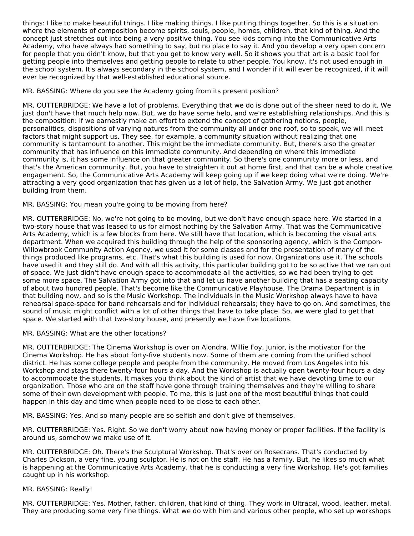things: I like to make beautiful things. I like making things. I like putting things together. So this is a situation where the elements of composition become spirits, souls, people, homes, children, that kind of thing. And the concept just stretches out into being a very positive thing. You see kids coming into the Communicative Arts Academy, who have always had something to say, but no place to say it. And you develop a very open concern for people that you didn't know, but that you get to know very well. So it shows you that art is a basic tool for getting people into themselves and getting people to relate to other people. You know, it's not used enough in the school system. It's always secondary in the school system, and I wonder if it will ever be recognized, if it will ever be recognized by that well-established educational source.

MR. BASSING: Where do you see the Academy going from its present position?

MR. OUTTERBRIDGE: We have a lot of problems. Everything that we do is done out of the sheer need to do it. We just don't have that much help now. But, we do have some help, and we're establishing relationships. And this is the composition: if we earnestly make an effort to extend the concept of gathering notions, people, personalities, dispositions of varying natures from the community all under one roof, so to speak, we will meet factors that might support us. They see, for example, a community situation without realizing that one community is tantamount to another. This might be the immediate community. But, there's also the greater community that has influence on this immediate community. And depending on where this immediate community is, it has some influence on that greater community. So there's one community more or less, and that's the American community. But, you have to straighten it out at home first, and that can be a whole creative engagement. So, the Communicative Arts Academy will keep going up if we keep doing what we're doing. We're attracting a very good organization that has given us a lot of help, the Salvation Army. We just got another building from them.

### MR. BASSING: You mean you're going to be moving from here?

MR. OUTTERBRIDGE: No, we're not going to be moving, but we don't have enough space here. We started in a two-story house that was leased to us for almost nothing by the Salvation Army. That was the Communicative Arts Academy, which is a few blocks from here. We still have that location, which is becoming the visual arts department. When we acquired this building through the help of the sponsoring agency, which is the Compon- Willowbrook Community Action Agency, we used it for some classes and for the presentation of many of the things produced like programs, etc. That's what this building is used for now. Organizations use it. The schools have used it and they still do. And with all this activity, this particular building got to be so active that we ran out of space. We just didn't have enough space to accommodate all the activities, so we had been trying to get some more space. The Salvation Army got into that and let us have another building that has a seating capacity of about two hundred people. That's become like the Communicative Playhouse. The Drama Department is in that building now, and so is the Music Workshop. The individuals in the Music Workshop always have to have rehearsal space-space for band rehearsals and for individual rehearsals; they have to go on. And sometimes, the sound of music might conflict with a lot of other things that have to take place. So, we were glad to get that space. We started with that two-story house, and presently we have five locations.

#### MR. BASSING: What are the other locations?

MR. OUTTERBRIDGE: The Cinema Workshop is over on Alondra. Willie Foy, Junior, is the motivator For the Cinema Workshop. He has about forty-five students now. Some of them are coming from the unified school district. He has some college people and people from the community. He moved from Los Angeles into his Workshop and stays there twenty-four hours a day. And the Workshop is actually open twenty-four hours a day to accommodate the students. It makes you think about the kind of artist that we have devoting time to our organization. Those who are on the staff have gone through training themselves and they're willing to share some of their own development with people. To me, this is just one of the most beautiful things that could happen in this day and time when people need to be close to each other.

MR. BASSING: Yes. And so many people are so selfish and don't give of themselves.

MR. OUTTERBRIDGE: Yes. Right. So we don't worry about now having money or proper facilities. If the facility is around us, somehow we make use of it.

MR. OUTTERBRIDGE: Oh. There's the Sculptural Workshop. That's over on Rosecrans. That's conducted by Charles Dickson, a very fine, young sculptor. He is not on the staff. He has a family. But, he likes so much what is happening at the Communicative Arts Academy, that he is conducting a very fine Workshop. He's got families caught up in his workshop.

#### MR. BASSING: Really!

MR. OUTTERBRIDGE: Yes. Mother, father, children, that kind of thing. They work in Ultracal, wood, leather, metal. They are producing some very fine things. What we do with him and various other people, who set up workshops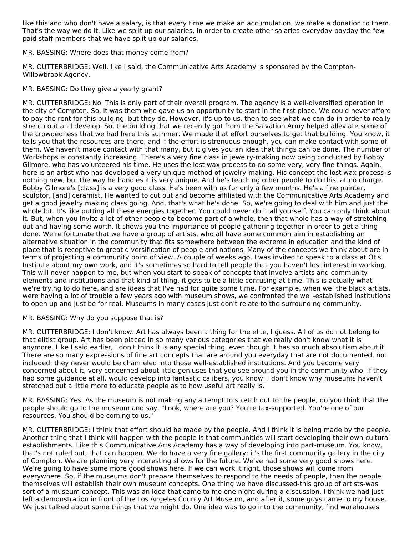like this and who don't have a salary, is that every time we make an accumulation, we make a donation to them. That's the way we do it. Like we split up our salaries, in order to create other salaries-everyday payday the few paid staff members that we have split up our salaries.

MR. BASSING: Where does that money come from?

MR. OUTTERBRIDGE: Well, like I said, the Communicative Arts Academy is sponsored by the Compton- Willowbrook Agency.

MR. BASSING: Do they give a yearly grant?

MR. OUTTERBRIDGE: No. This is only part of their overall program. The agency is a well-diversified operation in the city of Compton. So, it was them who gave us an opportunity to start in the first place. We could never afford to pay the rent for this building, but they do. However, it's up to us, then to see what we can do in order to really stretch out and develop. So, the building that we recently got from the Salvation Army helped alleviate some of the crowdedness that we had here this summer. We made that effort ourselves to get that building. You know, it tells you that the resources are there, and if the effort is strenuous enough, you can make contact with some of them. We haven't made contact with that many, but it gives you an idea that things can be done. The number of Workshops is constantly increasing. There's a very fine class in jewelry-making now being conducted by Bobby Gilmore, who has volunteered his time. He uses the lost wax process to do some very, very fine things. Again, here is an artist who has developed a very unique method of jewelry-making. His concept-the lost wax process-is nothing new, but the way he handles it is very unique. And he's teaching other people to do this, at no charge. Bobby Gilmore's [class] is a very good class. He's been with us for only a few months. He's a fine painter, sculptor, [and] ceramist. He wanted to cut out and become affiliated with the Communicative Arts Academy and get a good jewelry making class going. And, that's what he's done. So, we're going to deal with him and just the whole bit. It's like putting all these energies together. You could never do it all yourself. You can only think about it. But, when you invite a lot of other people to become part of a whole, then that whole has a way of stretching out and having some worth. It shows you the importance of people gathering together in order to get a thing done. We're fortunate that we have a group of artists, who all have some common aim in establishing an alternative situation in the community that fits somewhere between the extreme in education and the kind of place that is receptive to great diversification of people and notions. Many of the concepts we think about are in terms of projecting a community point of view. A couple of weeks ago, I was invited to speak to a class at Otis Institute about my own work, and it's sometimes so hard to tell people that you haven't lost interest in working. This will never happen to me, but when you start to speak of concepts that involve artists and community elements and institutions and that kind of thing, it gets to be a little confusing at time. This is actually what we're trying to do here, and are ideas that I've had for quite some time. For example, when we, the black artists, were having a lot of trouble a few years ago with museum shows, we confronted the well-established institutions to open up and just be for real. Museums in many cases just don't relate to the surrounding community.

#### MR. BASSING: Why do you suppose that is?

MR. OUTTERBRIDGE: I don't know. Art has always been a thing for the elite, I guess. All of us do not belong to that elitist group. Art has been placed in so many various categories that we really don't know what it is anymore. Like I said earlier, I don't think it is any special thing, even though it has so much absolutism about it. There are so many expressions of fine art concepts that are around you everyday that are not documented, not included; they never would be channeled into those well-established institutions. And you become very concerned about it, very concerned about little geniuses that you see around you in the community who, if they had some guidance at all, would develop into fantastic calibers, you know. I don't know why museums haven't stretched out a little more to educate people as to how useful art really is.

MR. BASSING: Yes. As the museum is not making any attempt to stretch out to the people, do you think that the people should go to the museum and say, "Look, where are you? You're tax-supported. You're one of our resources. You should be coming to us."

MR. OUTTERBRIDGE: I think that effort should be made by the people. And I think it is being made by the people. Another thing that I think will happen with the people is that communities will start developing their own cultural establishments. Like this Communicative Arts Academy has a way of developing into part-museum. You know, that's not ruled out; that can happen. We do have a very fine gallery; it's the first community gallery in the city of Compton. We are planning very interesting shows for the future. We've had some very good shows here. We're going to have some more good shows here. If we can work it right, those shows will come from everywhere. So, if the museums don't prepare themselves to respond to the needs of people, then the people themselves will establish their own museum concepts. One thing we have discussed-this group of artists-was sort of a museum concept. This was an idea that came to me one night during a discussion. I think we had just left a demonstration in front of the Los Angeles County Art Museum, and after it, some guys came to my house. We just talked about some things that we might do. One idea was to go into the community, find warehouses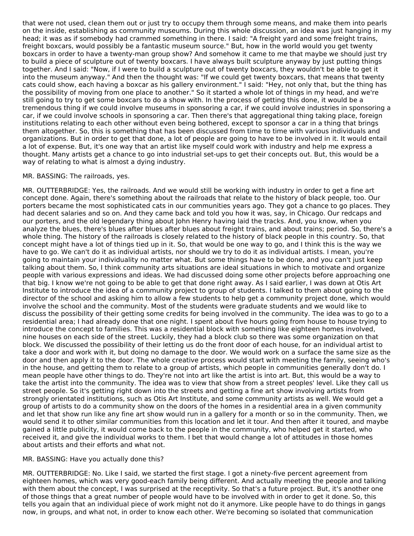that were not used, clean them out or just try to occupy them through some means, and make them into pearls on the inside, establishing as community museums. During this whole discussion, an idea was just hanging in my head; it was as if somebody had crammed something in there. I said: "A freight yard and some freight trains, freight boxcars, would possibly be a fantastic museum source." But, how in the world would you get twenty boxcars in order to have a twenty-man group show? And somehow it came to me that maybe we should just try to build a piece of sculpture out of twenty boxcars. I have always built sculpture anyway by just putting things together. And I said: "Now, if I were to build a sculpture out of twenty boxcars, they wouldn't be able to get it into the museum anyway." And then the thought was: "If we could get twenty boxcars, that means that twenty cats could show, each having a boxcar as his gallery environment." I said: "Hey, not only that, but the thing has the possibility of moving from one place to another." So it started a whole lot of things in my head, and we're still going to try to get some boxcars to do a show with. In the process of getting this done, it would be a tremendous thing if we could involve museums in sponsoring a car, if we could involve industries in sponsoring a car, if we could involve schools in sponsoring a car. Then there's that aggregational thing taking place, foreign institutions relating to each other without even being bothered, except to sponsor a car in a thing that brings them altogether. So, this is something that has been discussed from time to time with various individuals and organizations. But in order to get that done, a lot of people are going to have to be involved in it. It would entail a lot of expense. But, it's one way that an artist like myself could work with industry and help me express a thought. Many artists get a chance to go into industrial set-ups to get their concepts out. But, this would be a way of relating to what is almost a dying industry.

#### MR. BASSING: The railroads, yes.

MR. OUTTERBRIDGE: Yes, the railroads. And we would still be working with industry in order to get a fine art concept done. Again, there's something about the railroads that relate to the history of black people, too. Our porters became the most sophisticated cats in our communities years ago. They got a chance to go places. They had decent salaries and so on. And they came back and told you how it was, say, in Chicago. Our redcaps and our porters, and the old legendary thing about John Henry having laid the tracks. And, you know, when you analyze the blues, there's blues after blues after blues about freight trains, and about trains; period. So, there's a whole thing. The history of the railroads is closely related to the history of black people in this country. So, that concept might have a lot of things tied up in it. So, that would be one way to go, and I think this is the way we have to go. We can't do it as individual artists, nor should we try to do it as individual artists. I mean, you're going to maintain your individuality no matter what. But some things have to be done, and you can't just keep talking about them. So, I think community arts situations are ideal situations in which to motivate and organize people with various expressions and ideas. We had discussed doing some other projects before approaching one that big. I know we're not going to be able to get that done right away. As I said earlier, I was down at Otis Art Institute to introduce the idea of a community project to group of students. I talked to them about going to the director of the school and asking him to allow a few students to help get a community project done, which would involve the school and the community. Most of the students were graduate students and we would like to discuss the possibility of their getting some credits for being involved in the community. The idea was to go to a residential area; I had already done that one night. I spent about five hours going from house to house trying to introduce the concept to families. This was a residential block with something like eighteen homes involved, nine houses on each side of the street. Luckily, they had a block club so there was some organization on that block. We discussed the possibility of their letting us do the front door of each house, for an individual artist to take a door and work with it, but doing no damage to the door. We would work on a surface the same size as the door and then apply it to the door. The whole creative process would start with meeting the family, seeing who's in the house, and getting them to relate to a group of artists, which people in communities generally don't do. I mean people have other things to do. They're not into art like the artist is into art. But, this would be a way to take the artist into the community. The idea was to view that show from a street peoples' level. Like they call us street people. So it's getting right down into the streets and getting a fine art show involving artists from strongly orientated institutions, such as Otis Art Institute, and some community artists as well. We would get a group of artists to do a community show on the doors of the homes in a residential area in a given community and let that show run like any fine art show would run in a gallery for a month or so in the community. Then, we would send it to other similar communities from this location and let it tour. And then after it toured, and maybe gained a little publicity, it would come back to the people in the community, who helped get it started, who received it, and give the individual works to them. I bet that would change a lot of attitudes in those homes about artists and their efforts and what not.

#### MR. BASSING: Have you actually done this?

MR. OUTTERBRIDGE: No. Like I said, we started the first stage. I got a ninety-five percent agreement from eighteen homes, which was very good-each family being different. And actually meeting the people and talking with them about the concept, I was surprised at the receptivity. So that's a future project. But, it's another one of those things that a great number of people would have to be involved with in order to get it done. So, this tells you again that an individual piece of work might not do it anymore. Like people have to do things in gangs now, in groups, and what not, in order to know each other. We're becoming so isolated that communication